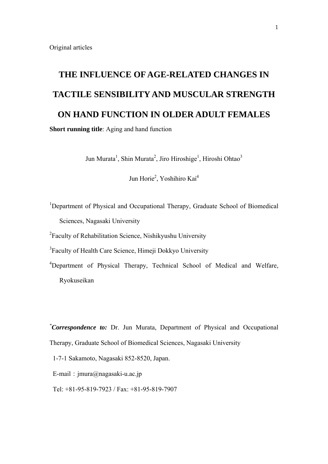# **THE INFLUENCE OF AGE-RELATED CHANGES IN TACTILE SENSIBILITY AND MUSCULAR STRENGTH ON HAND FUNCTION IN OLDER ADULT FEMALES**

**Short running title**: Aging and hand function

Jun Murata<sup>1</sup>, Shin Murata<sup>2</sup>, Jiro Hiroshige<sup>1</sup>, Hiroshi Ohtao<sup>3</sup>

Jun Horie<sup>2</sup>, Yoshihiro Kai<sup>4</sup>

<sup>1</sup>Department of Physical and Occupational Therapy, Graduate School of Biomedical Sciences, Nagasaki University

<sup>2</sup> Faculty of Rehabilitation Science, Nishikyushu University

<sup>3</sup>Faculty of Health Care Science, Himeji Dokkyo University

<sup>4</sup>Department of Physical Therapy, Technical School of Medical and Welfare, Ryokuseikan

*\* Correspondence to:* Dr. Jun Murata, Department of Physical and Occupational Therapy, Graduate School of Biomedical Sciences, Nagasaki University

1-7-1 Sakamoto, Nagasaki 852-8520, Japan.

E-mail:  $jmmra@naqasaki-u.ac.jp$ 

Tel: +81-95-819-7923 / Fax: +81-95-819-7907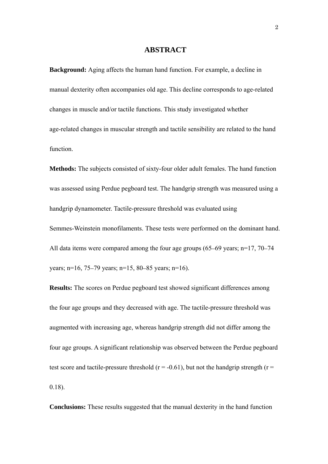#### **ABSTRACT**

**Background:** Aging affects the human hand function. For example, a decline in manual dexterity often accompanies old age. This decline corresponds to age-related changes in muscle and/or tactile functions. This study investigated whether age-related changes in muscular strength and tactile sensibility are related to the hand function.

**Methods:** The subjects consisted of sixty-four older adult females. The hand function was assessed using Perdue pegboard test. The handgrip strength was measured using a handgrip dynamometer. Tactile-pressure threshold was evaluated using Semmes-Weinstein monofilaments. These tests were performed on the dominant hand. All data items were compared among the four age groups (65–69 years; n=17, 70–74 years; n=16, 75–79 years; n=15, 80–85 years; n=16).

**Results:** The scores on Perdue pegboard test showed significant differences among the four age groups and they decreased with age. The tactile-pressure threshold was augmented with increasing age, whereas handgrip strength did not differ among the four age groups. A significant relationship was observed between the Perdue pegboard test score and tactile-pressure threshold ( $r = -0.61$ ), but not the handgrip strength ( $r =$ 0.18).

**Conclusions:** These results suggested that the manual dexterity in the hand function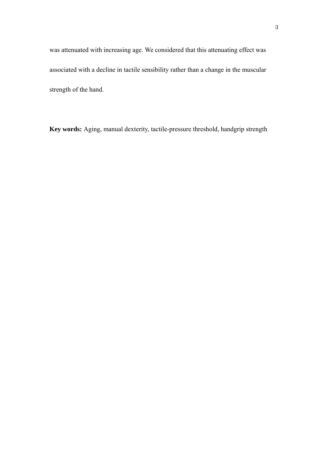was attenuated with increasing age. We considered that this attenuating effect was associated with a decline in tactile sensibility rather than a change in the muscular strength of the hand.

**Key words:** Aging, manual dexterity, tactile-pressure threshold, handgrip strength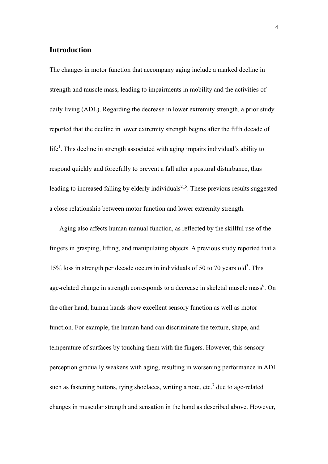#### **Introduction**

The changes in motor function that accompany aging include a marked decline in strength and muscle mass, leading to impairments in mobility and the activities of daily living (ADL). Regarding the decrease in lower extremity strength, a prior study reported that the decline in lower extremity strength begins after the fifth decade of  $l$ ife<sup>1</sup>. This decline in strength associated with aging impairs individual's ability to respond quickly and forcefully to prevent a fall after a postural disturbance, thus leading to increased falling by elderly individuals<sup>2\_5</sup>. These previous results suggested a close relationship between motor function and lower extremity strength.

Aging also affects human manual function, as reflected by the skillful use of the fingers in grasping, lifting, and manipulating objects. A previous study reported that a 15% loss in strength per decade occurs in individuals of 50 to 70 years old<sup>3</sup>. This age-related change in strength corresponds to a decrease in skeletal muscle mass<sup>6</sup>. On the other hand, human hands show excellent sensory function as well as motor function. For example, the human hand can discriminate the texture, shape, and temperature of surfaces by touching them with the fingers. However, this sensory perception gradually weakens with aging, resulting in worsening performance in ADL such as fastening buttons, tying shoelaces, writing a note, etc.<sup>7</sup> due to age-related changes in muscular strength and sensation in the hand as described above. However,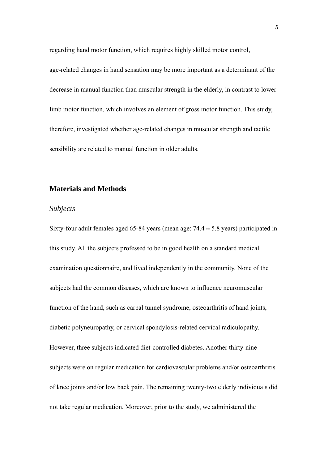regarding hand motor function, which requires highly skilled motor control, age-related changes in hand sensation may be more important as a determinant of the decrease in manual function than muscular strength in the elderly, in contrast to lower limb motor function, which involves an element of gross motor function. This study, therefore, investigated whether age-related changes in muscular strength and tactile sensibility are related to manual function in older adults.

#### **Materials and Methods**

#### *Subjects*

Sixty-four adult females aged 65-84 years (mean age:  $74.4 \pm 5.8$  years) participated in this study. All the subjects professed to be in good health on a standard medical examination questionnaire, and lived independently in the community. None of the subjects had the common diseases, which are known to influence neuromuscular function of the hand, such as carpal tunnel syndrome, osteoarthritis of hand joints, diabetic polyneuropathy, or cervical spondylosis-related cervical radiculopathy. However, three subjects indicated diet-controlled diabetes. Another thirty-nine subjects were on regular medication for cardiovascular problems and/or osteoarthritis of knee joints and/or low back pain. The remaining twenty-two elderly individuals did not take regular medication. Moreover, prior to the study, we administered the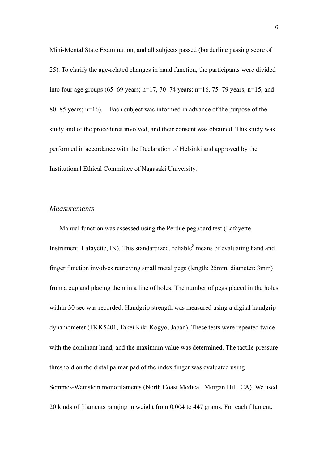Mini-Mental State Examination, and all subjects passed (borderline passing score of 25). To clarify the age-related changes in hand function, the participants were divided into four age groups (65–69 years;  $n=17$ , 70–74 years;  $n=16$ , 75–79 years;  $n=15$ , and 80–85 years; n=16). Each subject was informed in advance of the purpose of the study and of the procedures involved, and their consent was obtained. This study was performed in accordance with the Declaration of Helsinki and approved by the Institutional Ethical Committee of Nagasaki University.

#### *Measurements*

Manual function was assessed using the Perdue pegboard test (Lafayette Instrument, Lafayette, IN). This standardized, reliable $\delta$  means of evaluating hand and finger function involves retrieving small metal pegs (length: 25mm, diameter: 3mm) from a cup and placing them in a line of holes. The number of pegs placed in the holes within 30 sec was recorded. Handgrip strength was measured using a digital handgrip dynamometer (TKK5401, Takei Kiki Kogyo, Japan). These tests were repeated twice with the dominant hand, and the maximum value was determined. The tactile-pressure threshold on the distal palmar pad of the index finger was evaluated using Semmes-Weinstein monofilaments (North Coast Medical, Morgan Hill, CA). We used 20 kinds of filaments ranging in weight from 0.004 to 447 grams. For each filament,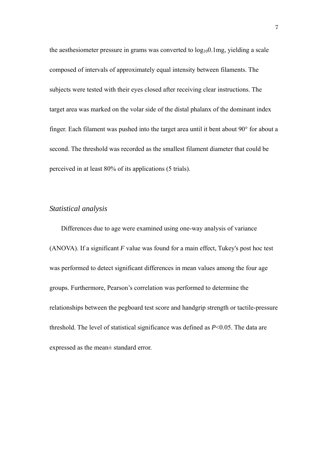the aesthesiometer pressure in grams was converted to  $log_{10}0.1$ mg, yielding a scale composed of intervals of approximately equal intensity between filaments. The subjects were tested with their eyes closed after receiving clear instructions. The target area was marked on the volar side of the distal phalanx of the dominant index finger. Each filament was pushed into the target area until it bent about 90° for about a second. The threshold was recorded as the smallest filament diameter that could be perceived in at least 80% of its applications (5 trials).

#### *Statistical analysis*

Differences due to age were examined using one-way analysis of variance (ANOVA). If a significant *F* value was found for a main effect, Tukey's post hoc test was performed to detect significant differences in mean values among the four age groups. Furthermore, Pearson's correlation was performed to determine the relationships between the pegboard test score and handgrip strength or tactile-pressure threshold. The level of statistical significance was defined as *P*<0.05. The data are expressed as the mean± standard error.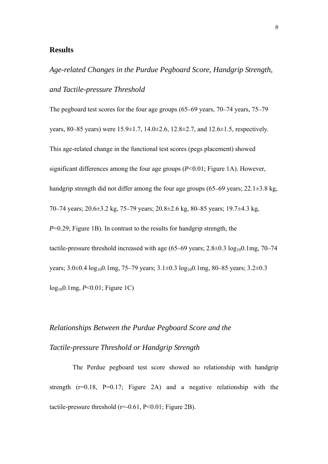#### **Results**

*Age-related Changes in the Purdue Pegboard Score, Handgrip Strength, and Tactile-pressure Threshold* 

The pegboard test scores for the four age groups (65–69 years, 70–74 years, 75–79 years, 80–85 years) were 15.9±1.7, 14.0±2.6, 12.8±2.7, and 12.6±1.5, respectively. This age-related change in the functional test scores (pegs placement) showed significant differences among the four age groups (*P*<0.01; Figure 1A). However, handgrip strength did not differ among the four age groups (65–69 years; 22.1±3.8 kg, 70–74 years; 20.6±3.2 kg, 75–79 years; 20.8±2.6 kg, 80–85 years; 19.7±4.3 kg, *P*=0.29; Figure 1B). In contrast to the results for handgrip strength, the tactile-pressure threshold increased with age  $(65–69 \text{ years}; 2.8 \pm 0.3 \log_{10} 0.1 \text{mg}, 70–74$ years;  $3.0\pm0.4 \log_{10} 0.1$ mg,  $75-79$  years;  $3.1\pm0.3 \log_{10} 0.1$ mg,  $80-85$  years;  $3.2\pm0.3$ log100.1mg, *P*<0.01; Figure 1C)

## *Relationships Between the Purdue Pegboard Score and the Tactile-pressure Threshold or Handgrip Strength*

The Perdue pegboard test score showed no relationship with handgrip strength  $(r=0.18, P=0.17;$  Figure 2A) and a negative relationship with the tactile-pressure threshold  $(r=0.61, P<0.01;$  Figure 2B).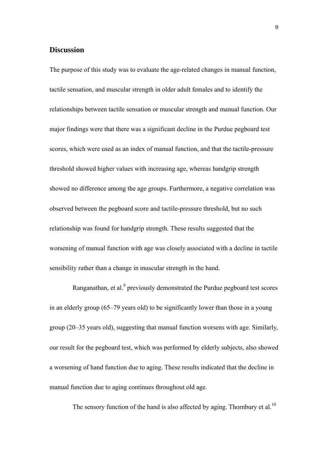#### **Discussion**

The purpose of this study was to evaluate the age-related changes in manual function, tactile sensation, and muscular strength in older adult females and to identify the relationships between tactile sensation or muscular strength and manual function. Our major findings were that there was a significant decline in the Purdue pegboard test scores, which were used as an index of manual function, and that the tactile-pressure threshold showed higher values with increasing age, whereas handgrip strength showed no difference among the age groups. Furthermore, a negative correlation was observed between the pegboard score and tactile-pressure threshold, but no such relationship was found for handgrip strength. These results suggested that the worsening of manual function with age was closely associated with a decline in tactile sensibility rather than a change in muscular strength in the hand.

Ranganathan, et al. $<sup>9</sup>$  previously demonstrated the Purdue pegboard test scores</sup> in an elderly group (65–79 years old) to be significantly lower than those in a young group (20–35 years old), suggesting that manual function worsens with age. Similarly, our result for the pegboard test, which was performed by elderly subjects, also showed a worsening of hand function due to aging. These results indicated that the decline in manual function due to aging continues throughout old age.

The sensory function of the hand is also affected by aging. Thornbury et al.<sup>10</sup>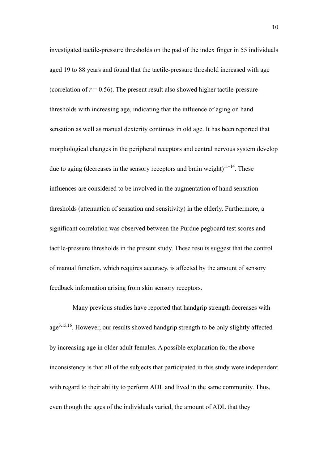investigated tactile-pressure thresholds on the pad of the index finger in 55 individuals aged 19 to 88 years and found that the tactile-pressure threshold increased with age (correlation of  $r = 0.56$ ). The present result also showed higher tactile-pressure thresholds with increasing age, indicating that the influence of aging on hand sensation as well as manual dexterity continues in old age. It has been reported that morphological changes in the peripheral receptors and central nervous system develop due to aging (decreases in the sensory receptors and brain weight)<sup>11–14</sup>. These influences are considered to be involved in the augmentation of hand sensation thresholds (attenuation of sensation and sensitivity) in the elderly. Furthermore, a significant correlation was observed between the Purdue pegboard test scores and tactile-pressure thresholds in the present study. These results suggest that the control of manual function, which requires accuracy, is affected by the amount of sensory feedback information arising from skin sensory receptors.

Many previous studies have reported that handgrip strength decreases with age3,15,16. However, our results showed handgrip strength to be only slightly affected by increasing age in older adult females. A possible explanation for the above inconsistency is that all of the subjects that participated in this study were independent with regard to their ability to perform ADL and lived in the same community. Thus, even though the ages of the individuals varied, the amount of ADL that they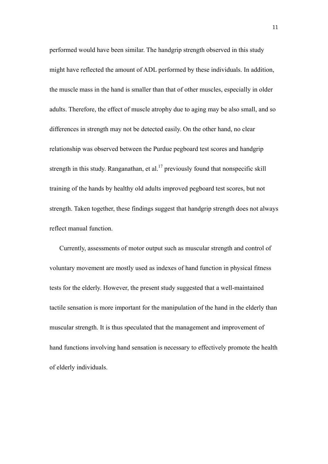performed would have been similar. The handgrip strength observed in this study might have reflected the amount of ADL performed by these individuals. In addition, the muscle mass in the hand is smaller than that of other muscles, especially in older adults. Therefore, the effect of muscle atrophy due to aging may be also small, and so differences in strength may not be detected easily. On the other hand, no clear relationship was observed between the Purdue pegboard test scores and handgrip strength in this study. Ranganathan, et al.<sup>17</sup> previously found that nonspecific skill training of the hands by healthy old adults improved pegboard test scores, but not strength. Taken together, these findings suggest that handgrip strength does not always reflect manual function.

Currently, assessments of motor output such as muscular strength and control of voluntary movement are mostly used as indexes of hand function in physical fitness tests for the elderly. However, the present study suggested that a well-maintained tactile sensation is more important for the manipulation of the hand in the elderly than muscular strength. It is thus speculated that the management and improvement of hand functions involving hand sensation is necessary to effectively promote the health of elderly individuals.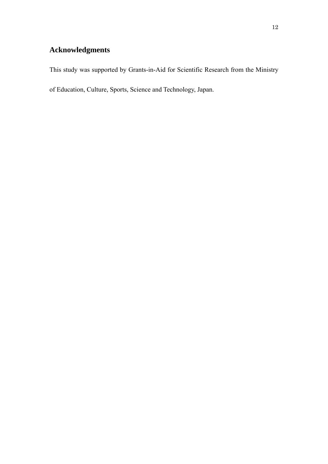### **Acknowledgments**

This study was supported by Grants-in-Aid for Scientific Research from the Ministry

of Education, Culture, Sports, Science and Technology, Japan.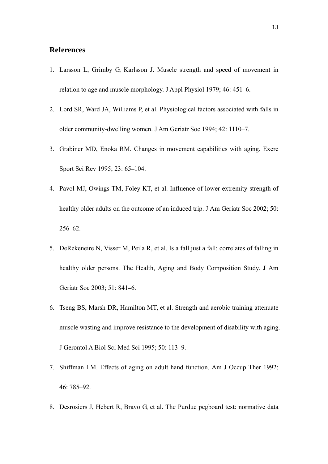#### **References**

- 1. Larsson L, Grimby G, Karlsson J. Muscle strength and speed of movement in relation to age and muscle morphology. J Appl Physiol 1979; 46: 451–6.
- 2. Lord SR, Ward JA, Williams P, et al. Physiological factors associated with falls in older community-dwelling women. J Am Geriatr Soc 1994; 42: 1110–7.
- 3. Grabiner MD, Enoka RM. Changes in movement capabilities with aging. Exerc Sport Sci Rev 1995; 23: 65–104.
- 4. Pavol MJ, Owings TM, Foley KT, et al. Influence of lower extremity strength of healthy older adults on the outcome of an induced trip. J Am Geriatr Soc 2002; 50: 256–62.
- 5. DeRekeneire N, Visser M, Peila R, et al. Is a fall just a fall: correlates of falling in healthy older persons. The Health, Aging and Body Composition Study. J Am Geriatr Soc 2003; 51: 841–6.
- 6. Tseng BS, Marsh DR, Hamilton MT, et al. Strength and aerobic training attenuate muscle wasting and improve resistance to the development of disability with aging. J Gerontol A Biol Sci Med Sci 1995; 50: 113–9.
- 7. Shiffman LM. Effects of aging on adult hand function. Am J Occup Ther 1992; 46: 785–92.
- 8. Desrosiers J, Hebert R, Bravo G, et al. The Purdue pegboard test: normative data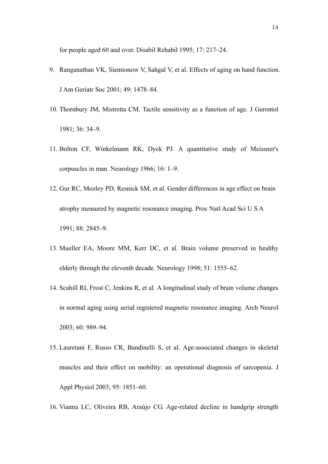for people aged 60 and over. Disabil Rehabil 1995; 17: 217–24.

- 9. Ranganathan VK, Siemionow V, Sahgal V, et al. Effects of aging on hand function. J Am Geriatr Soc 2001; 49: 1478–84.
- 10. Thornbury JM, Mistretta CM. Tactile sensitivity as a function of age. J Gerontol 1981; 36: 34–9.
- 11. Bolton CF, Winkelmann RK, Dyck PJ. A quantitative study of Meissner's corpuscles in man. Neurology 1966; 16: 1–9.
- 12. Gur RC, Mozley PD, Resnick SM, et al. Gender differences in age effect on brain atrophy measured by magnetic resonance imaging. Proc Natl Acad Sci U S A 1991; 88: 2845–9.
- 13. Mueller EA, Moore MM, Kerr DC, et al. Brain volume preserved in healthy elderly through the eleventh decade. Neurology 1998; 51: 1555–62.
- 14. Scahill RI, Frost C, Jenkins R, et al. A longitudinal study of brain volume changes in normal aging using serial registered magnetic resonance imaging. Arch Neurol 2003; 60: 989–94.
- 15. Lauretani F, Russo CR, Bandinelli S, et al. Age-associated changes in skeletal muscles and their effect on mobility: an operational diagnosis of sarcopenia. J Appl Physiol 2003; 95: 1851–60.
- 16. Vianna LC, Oliveira RB, Araújo CG. Age-related decline in handgrip strength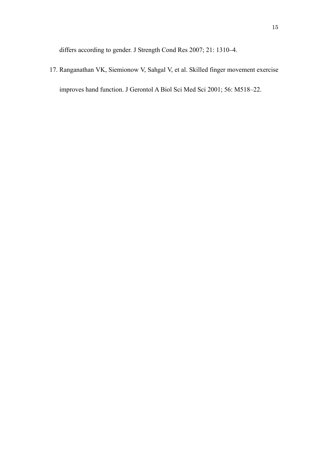differs according to gender. J Strength Cond Res 2007; 21: 1310–4.

17. Ranganathan VK, Siemionow V, Sahgal V, et al. Skilled finger movement exercise improves hand function. J Gerontol A Biol Sci Med Sci 2001; 56: M518–22.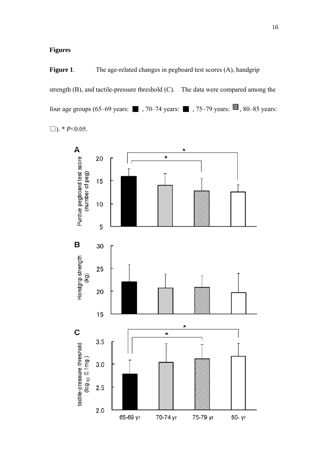#### **Figures**

**Figure 1**. The age-related changes in pegboard test scores (A), handgrip strength (B), and tactile-pressure threshold (C). The data were compared among the four age groups (65–69 years:  $\blacksquare$ , 70–74 years:  $\blacksquare$ , 75–79 years:  $\blacksquare$ , 80–85 years: □). \* *P*<0.05.